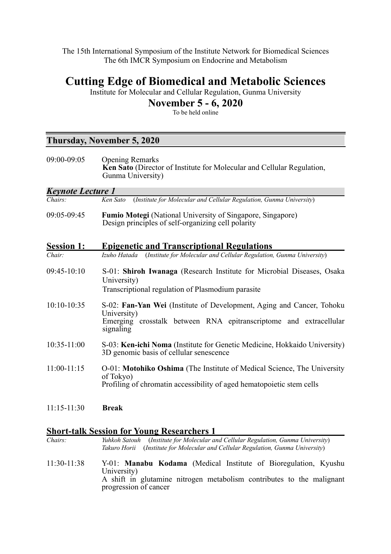The 15th International Symposium of the Institute Network for Biomedical Sciences The 6th IMCR Symposium on Endocrine and Metabolism

# **Cutting Edge of Biomedical and Metabolic Sciences**

Institute for Molecular and Cellular Regulation, Gunma University

## **November 5 - 6, 2020**

To be held online

### **Thursday, November 5, 2020**

| 09:00-09:05              | <b>Opening Remarks</b><br>Ken Sato (Director of Institute for Molecular and Cellular Regulation,<br>Gunma University)                                                  |  |
|--------------------------|------------------------------------------------------------------------------------------------------------------------------------------------------------------------|--|
| <b>Keynote Lecture 1</b> |                                                                                                                                                                        |  |
| Chairs:                  | (Institute for Molecular and Cellular Regulation, Gunma University)<br>Ken Sato                                                                                        |  |
| 09:05-09:45              | <b>Fumio Motegi</b> (National University of Singapore, Singapore)<br>Design principles of self-organizing cell polarity                                                |  |
| <b>Session 1:</b>        | <b>Epigenetic and Transcriptional Regulations</b>                                                                                                                      |  |
| Chair:                   | (Institute for Molecular and Cellular Regulation, Gunma University)<br>Izuho Hatada                                                                                    |  |
| $09:45-10:10$            | S-01: Shiroh Iwanaga (Research Institute for Microbial Diseases, Osaka<br>University)<br>Transcriptional regulation of Plasmodium parasite                             |  |
|                          |                                                                                                                                                                        |  |
| 10:10-10:35              | S-02: Fan-Yan Wei (Institute of Development, Aging and Cancer, Tohoku<br>University)<br>Emerging crosstalk between RNA epitranscriptome and extracellular<br>signaling |  |
| 10:35-11:00              | S-03: Ken-ichi Noma (Institute for Genetic Medicine, Hokkaido University)<br>3D genomic basis of cellular senescence                                                   |  |
| $11:00-11:15$            | O-01: Motohiko Oshima (The Institute of Medical Science, The University<br>of Tokyo)<br>Profiling of chromatin accessibility of aged hematopoietic stem cells          |  |
| $11:15 - 11:30$          | <b>Break</b>                                                                                                                                                           |  |

## **Short-talk Session for Young Researchers 1**

| Chairs:       | (Institute for Molecular and Cellular Regulation, Gunma University)<br>Yuhkoh Satouh<br>(Institute for Molecular and Cellular Regulation, Gunma University)<br>Takuro Horii             |
|---------------|-----------------------------------------------------------------------------------------------------------------------------------------------------------------------------------------|
| $11:30-11:38$ | Y-01: <b>Manabu Kodama</b> (Medical Institute of Bioregulation, Kyushu<br>University)<br>A shift in glutamine nitrogen metabolism contributes to the malignant<br>progression of cancer |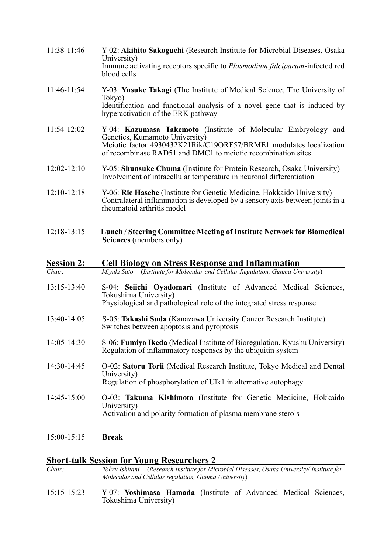- 11:38-11:46 Y-02: **Akihito Sakoguchi** (Research Institute for Microbial Diseases, Osaka University) Immune activating receptors specific to *Plasmodium falciparum*-infected red blood cells
- 11:46-11:54 Y-03: **Yusuke Takagi** (The Institute of Medical Science, The University of Tokyo) Identification and functional analysis of a novel gene that is induced by hyperactivation of the ERK pathway
- 11:54-12:02 Y-04: **Kazumasa Takemoto** (Institute of Molecular Embryology and Genetics, Kumamoto University) Meiotic factor 4930432K21Rik/C19ORF57/BRME1 modulates localization of recombinase RAD51 and DMC1 to meiotic recombination sites
- 12:02-12:10 Y-05: **Shunsuke Chuma** (Institute for Protein Research, Osaka University) Involvement of intracellular temperature in neuronal differentiation
- 12:10-12:18 Y-06: **Rie Hasebe** (Institute for Genetic Medicine, Hokkaido University) Contralateral inflammation is developed by a sensory axis between joints in a rheumatoid arthritis model
- 12:18-13:15 **Lunch** / **Steering Committee Meeting of Institute Network for Biomedical Sciences** (members only)

#### **Session 2: Cell Biology on Stress Response and Inflammation**

- *Chair: Miyuki Sato* (*Institute for Molecular and Cellular Regulation, Gunma University*)
- 13:15-13:40 S-04: **Seiichi Oyadomari** (Institute of Advanced Medical Sciences, Tokushima University) Physiological and pathological role of the integrated stress response
- 13:40-14:05 S-05: **Takashi Suda** (Kanazawa University Cancer Research Institute) Switches between apoptosis and pyroptosis
- 14:05-14:30 S-06: **Fumiyo Ikeda** (Medical Institute of Bioregulation, Kyushu University) Regulation of inflammatory responses by the ubiquitin system
- 14:30-14:45 O-02: **Satoru Torii** (Medical Research Institute, Tokyo Medical and Dental University) Regulation of phosphorylation of Ulk1 in alternative autophagy
- 14:45-15:00 O-03: **Takuma Kishimoto** (Institute for Genetic Medicine, Hokkaido University) Activation and polarity formation of plasma membrane sterols
- 15:00-15:15 **Break**

#### **Short-talk Session for Young Researchers 2**

*Chair: Tohru Ishitani* (*Research Institute for Microbial Diseases, Osaka University/ Institute for Molecular and Cellular regulation, Gunma University*)

15:15-15:23 Y-07: **Yoshimasa Hamada** (Institute of Advanced Medical Sciences, Tokushima University)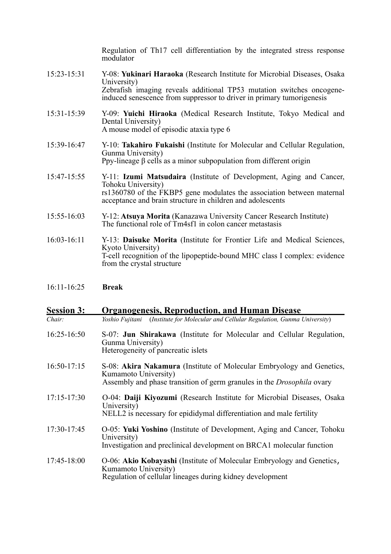Regulation of Th17 cell differentiation by the integrated stress response modulator 15:23-15:31 Y-08: **Yukinari Haraoka** (Research Institute for Microbial Diseases, Osaka University) Zebrafish imaging reveals additional TP53 mutation switches oncogene- induced senescence from suppressor to driver in primary tumorigenesis 15:31-15:39 Y-09: **Yuichi Hiraoka** (Medical Research Institute, Tokyo Medical and Dental University) A mouse model of episodic ataxia type 6 15:39-16:47 Y-10: **Takahiro Fukaishi** (Institute for Molecular and Cellular Regulation, Gunma University) Ppy-lineage β cells as a minor subpopulation from different origin 15:47-15:55 Y-11: **Izumi Matsudaira** (Institute of Development, Aging and Cancer, Tohoku University) rs1360780 of the FKBP5 gene modulates the association between maternal acceptance and brain structure in children and adolescents 15:55-16:03 Y-12: **Atsuya Morita** (Kanazawa University Cancer Research Institute) The functional role of Tm4sf1 in colon cancer metastasis 16:03-16:11 Y-13: **Daisuke Morita** (Institute for Frontier Life and Medical Sciences, Kyoto University)

T-cell recognition of the lipopeptide-bound MHC class I complex: evidence from the crystal structure

16:11-16:25 **Break**

#### **Session 3: Organogenesis, Reproduction, and Human Disease**

*Chair: Yoshio Fujitani* (*Institute for Molecular and Cellular Regulation, Gunma University*)

- 16:25-16:50 S-07: **Jun Shirakawa** (Institute for Molecular and Cellular Regulation, Gunma University) Heterogeneity of pancreatic islets
- 16:50-17:15 S-08: **Akira Nakamura** (Institute of Molecular Embryology and Genetics, Kumamoto University) Assembly and phase transition of germ granules in the *Drosophila* ovary
- 17:15-17:30 O-04: **Daiji Kiyozumi** (Research Institute for Microbial Diseases, Osaka University<sup>y</sup> NELL2 is necessary for epididymal differentiation and male fertility
- 17:30-17:45 O-05: **Yuki Yoshino** (Institute of Development, Aging and Cancer, Tohoku University) Investigation and preclinical development on BRCA1 molecular function

#### 17:45-18:00 O-06: **Akio Kobayashi** (Institute of Molecular Embryology and Genetics, Kumamoto University) Regulation of cellular lineages during kidney development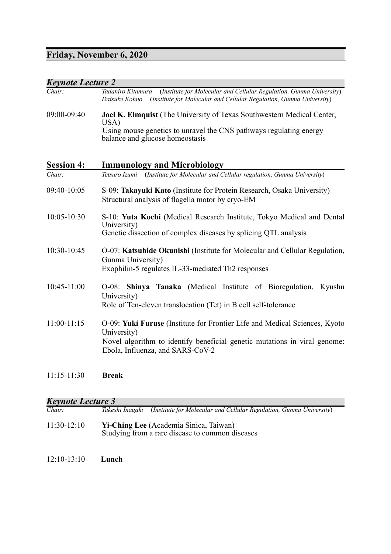# **Friday, November 6, 2020**

| <b>Keynote Lecture 2</b> |                                                                                                                                                                                                            |
|--------------------------|------------------------------------------------------------------------------------------------------------------------------------------------------------------------------------------------------------|
| Chair:                   | (Institute for Molecular and Cellular Regulation, Gunma University)<br>Tadahiro Kitamura<br>(Institute for Molecular and Cellular Regulation, Gunma University)<br>Daisuke Kohno                           |
| 09:00-09:40              | Joel K. Elmquist (The University of Texas Southwestern Medical Center,<br>USA)<br>Using mouse genetics to unravel the CNS pathways regulating energy<br>balance and glucose homeostasis                    |
| <b>Session 4:</b>        | <b>Immunology and Microbiology</b>                                                                                                                                                                         |
| Chair                    | Tetsuro Izumi (Institute for Molecular and Cellular regulation, Gunma University)                                                                                                                          |
| 09:40-10:05              | S-09: Takayuki Kato (Institute for Protein Research, Osaka University)<br>Structural analysis of flagella motor by cryo-EM                                                                                 |
| 10:05-10:30              | S-10: Yuta Kochi (Medical Research Institute, Tokyo Medical and Dental<br>University)<br>Genetic dissection of complex diseases by splicing QTL analysis                                                   |
| 10:30-10:45              | O-07: Katsuhide Okunishi (Institute for Molecular and Cellular Regulation,<br>Gunma University)<br>Exophilin-5 regulates IL-33-mediated Th2 responses                                                      |
| $10:45-11:00$            | O-08: Shinya Tanaka (Medical Institute of Bioregulation, Kyushu<br>University)<br>Role of Ten-eleven translocation (Tet) in B cell self-tolerance                                                          |
| $11:00-11:15$            | O-09: Yuki Furuse (Institute for Frontier Life and Medical Sciences, Kyoto<br>University)<br>Novel algorithm to identify beneficial genetic mutations in viral genome:<br>Ebola, Influenza, and SARS-CoV-2 |
| $11:15-11:30$            | <b>Break</b>                                                                                                                                                                                               |

#### *Keynote Lecture 3*

| <b>Keynote Lecture 3</b> |                                                                                           |  |
|--------------------------|-------------------------------------------------------------------------------------------|--|
| Chair:                   | (Institute for Molecular and Cellular Regulation, Gunma University)<br>Takeshi Inagaki    |  |
| $11:30-12:10$            | Yi-Ching Lee (Academia Sinica, Taiwan)<br>Studying from a rare disease to common diseases |  |
|                          |                                                                                           |  |

#### 12:10-13:10 **Lunch**